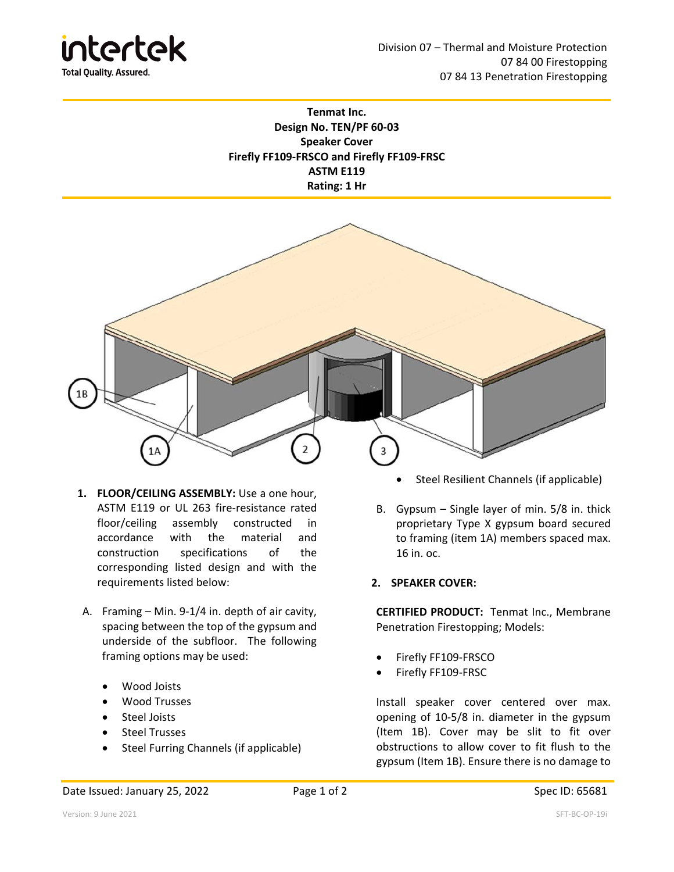

## **Tenmat Inc. Design No. TEN/PF 60‐03 Speaker Cover Firefly FF109‐FRSCO and Firefly FF109‐FRSC ASTM E119 Rating: 1 Hr**



- **1. FLOOR/CEILING ASSEMBLY:** Use a one hour, ASTM E119 or UL 263 fire‐resistance rated floor/ceiling assembly constructed in accordance with the material and construction specifications of the corresponding listed design and with the requirements listed below:
- A. Framing Min. 9‐1/4 in. depth of air cavity, spacing between the top of the gypsum and underside of the subfloor. The following framing options may be used:
	- Wood Joists
	- Wood Trusses
	- **•** Steel Joists
	- Steel Trusses
	- Steel Furring Channels (if applicable)
- Steel Resilient Channels (if applicable)
- B. Gypsum Single layer of min. 5/8 in. thick proprietary Type X gypsum board secured to framing (item 1A) members spaced max. 16 in. oc.
- **2. SPEAKER COVER:**

**CERTIFIED PRODUCT:**  Tenmat Inc., Membrane Penetration Firestopping; Models:

- Firefly FF109‐FRSCO
- Firefly FF109‐FRSC

Install speaker cover centered over max. opening of 10‐5/8 in. diameter in the gypsum (Item 1B). Cover may be slit to fit over obstructions to allow cover to fit flush to the gypsum (Item 1B). Ensure there is no damage to